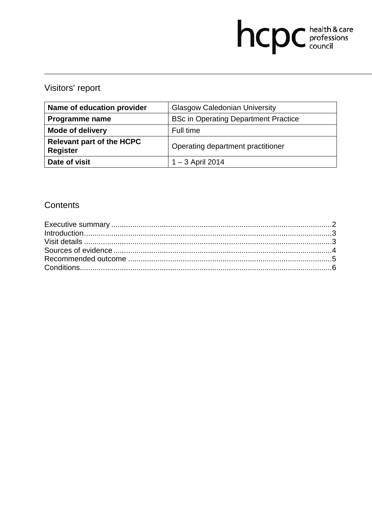# hcpc health & care

# Visitors' report

| Name of education provider                          | <b>Glasgow Caledonian University</b>        |
|-----------------------------------------------------|---------------------------------------------|
| Programme name                                      | <b>BSc in Operating Department Practice</b> |
| <b>Mode of delivery</b>                             | Full time                                   |
| <b>Relevant part of the HCPC</b><br><b>Register</b> | Operating department practitioner           |
| Date of visit                                       | $1 - 3$ April 2014                          |

### **Contents**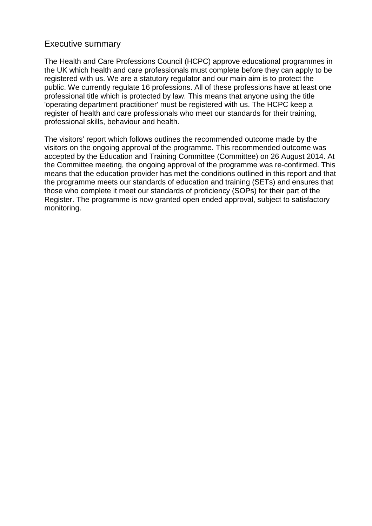#### Executive summary

The Health and Care Professions Council (HCPC) approve educational programmes in the UK which health and care professionals must complete before they can apply to be registered with us. We are a statutory regulator and our main aim is to protect the public. We currently regulate 16 professions. All of these professions have at least one professional title which is protected by law. This means that anyone using the title 'operating department practitioner' must be registered with us. The HCPC keep a register of health and care professionals who meet our standards for their training, professional skills, behaviour and health.

The visitors' report which follows outlines the recommended outcome made by the visitors on the ongoing approval of the programme. This recommended outcome was accepted by the Education and Training Committee (Committee) on 26 August 2014. At the Committee meeting, the ongoing approval of the programme was re-confirmed. This means that the education provider has met the conditions outlined in this report and that the programme meets our standards of education and training (SETs) and ensures that those who complete it meet our standards of proficiency (SOPs) for their part of the Register. The programme is now granted open ended approval, subject to satisfactory monitoring.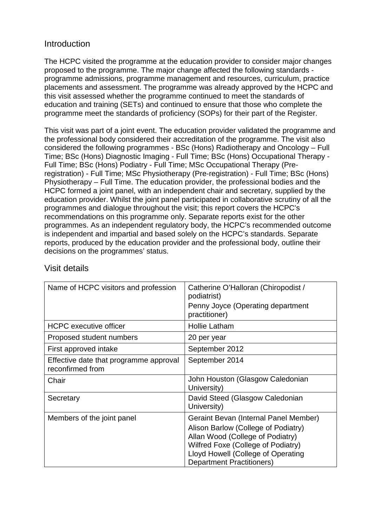#### **Introduction**

The HCPC visited the programme at the education provider to consider major changes proposed to the programme. The major change affected the following standards programme admissions, programme management and resources, curriculum, practice placements and assessment. The programme was already approved by the HCPC and this visit assessed whether the programme continued to meet the standards of education and training (SETs) and continued to ensure that those who complete the programme meet the standards of proficiency (SOPs) for their part of the Register.

This visit was part of a joint event. The education provider validated the programme and the professional body considered their accreditation of the programme. The visit also considered the following programmes - BSc (Hons) Radiotherapy and Oncology – Full Time; BSc (Hons) Diagnostic Imaging - Full Time; BSc (Hons) Occupational Therapy - Full Time; BSc (Hons) Podiatry - Full Time; MSc Occupational Therapy (Preregistration) - Full Time; MSc Physiotherapy (Pre-registration) - Full Time; BSc (Hons) Physiotherapy – Full Time. The education provider, the professional bodies and the HCPC formed a joint panel, with an independent chair and secretary, supplied by the education provider. Whilst the joint panel participated in collaborative scrutiny of all the programmes and dialogue throughout the visit; this report covers the HCPC's recommendations on this programme only. Separate reports exist for the other programmes. As an independent regulatory body, the HCPC's recommended outcome is independent and impartial and based solely on the HCPC's standards. Separate reports, produced by the education provider and the professional body, outline their decisions on the programmes' status.

| Name of HCPC visitors and profession                       | Catherine O'Halloran (Chiropodist /<br>podiatrist)<br>Penny Joyce (Operating department<br>practitioner)                                                                                                                         |
|------------------------------------------------------------|----------------------------------------------------------------------------------------------------------------------------------------------------------------------------------------------------------------------------------|
| <b>HCPC</b> executive officer                              | <b>Hollie Latham</b>                                                                                                                                                                                                             |
| Proposed student numbers                                   | 20 per year                                                                                                                                                                                                                      |
| First approved intake                                      | September 2012                                                                                                                                                                                                                   |
| Effective date that programme approval<br>reconfirmed from | September 2014                                                                                                                                                                                                                   |
| Chair                                                      | John Houston (Glasgow Caledonian<br>University)                                                                                                                                                                                  |
| Secretary                                                  | David Steed (Glasgow Caledonian<br>University)                                                                                                                                                                                   |
| Members of the joint panel                                 | Geraint Bevan (Internal Panel Member)<br>Alison Barlow (College of Podiatry)<br>Allan Wood (College of Podiatry)<br>Wilfred Foxe (College of Podiatry)<br>Lloyd Howell (College of Operating<br><b>Department Practitioners)</b> |

#### Visit details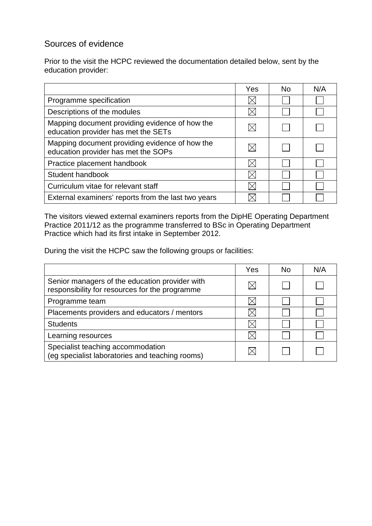## Sources of evidence

Prior to the visit the HCPC reviewed the documentation detailed below, sent by the education provider:

|                                                                                       | Yes | <b>No</b> | N/A |
|---------------------------------------------------------------------------------------|-----|-----------|-----|
| Programme specification                                                               |     |           |     |
| Descriptions of the modules                                                           |     |           |     |
| Mapping document providing evidence of how the<br>education provider has met the SETs |     |           |     |
| Mapping document providing evidence of how the<br>education provider has met the SOPs |     |           |     |
| Practice placement handbook                                                           |     |           |     |
| Student handbook                                                                      |     |           |     |
| Curriculum vitae for relevant staff                                                   |     |           |     |
| External examiners' reports from the last two years                                   |     |           |     |

The visitors viewed external examiners reports from the DipHE Operating Department Practice 2011/12 as the programme transferred to BSc in Operating Department Practice which had its first intake in September 2012.

During the visit the HCPC saw the following groups or facilities:

|                                                                                                  | Yes | No. | N/A |
|--------------------------------------------------------------------------------------------------|-----|-----|-----|
| Senior managers of the education provider with<br>responsibility for resources for the programme |     |     |     |
| Programme team                                                                                   |     |     |     |
| Placements providers and educators / mentors                                                     |     |     |     |
| <b>Students</b>                                                                                  |     |     |     |
| Learning resources                                                                               |     |     |     |
| Specialist teaching accommodation<br>(eg specialist laboratories and teaching rooms)             |     |     |     |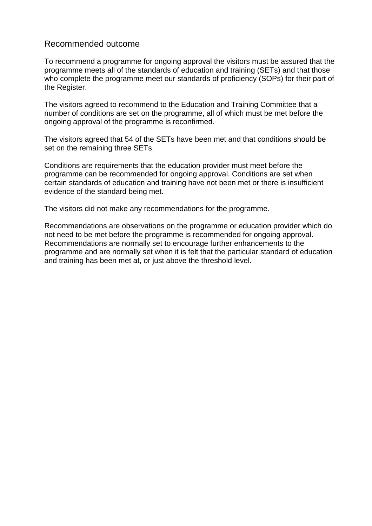#### Recommended outcome

To recommend a programme for ongoing approval the visitors must be assured that the programme meets all of the standards of education and training (SETs) and that those who complete the programme meet our standards of proficiency (SOPs) for their part of the Register.

The visitors agreed to recommend to the Education and Training Committee that a number of conditions are set on the programme, all of which must be met before the ongoing approval of the programme is reconfirmed.

The visitors agreed that 54 of the SETs have been met and that conditions should be set on the remaining three SETs.

Conditions are requirements that the education provider must meet before the programme can be recommended for ongoing approval. Conditions are set when certain standards of education and training have not been met or there is insufficient evidence of the standard being met.

The visitors did not make any recommendations for the programme.

Recommendations are observations on the programme or education provider which do not need to be met before the programme is recommended for ongoing approval. Recommendations are normally set to encourage further enhancements to the programme and are normally set when it is felt that the particular standard of education and training has been met at, or just above the threshold level.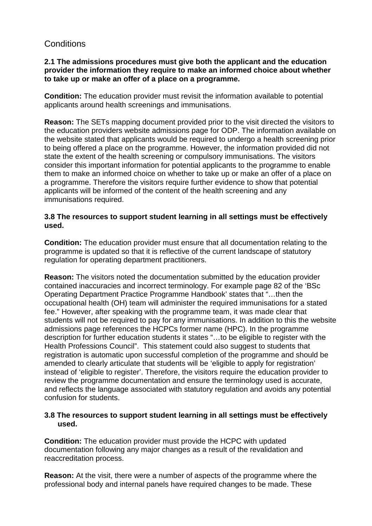#### **Conditions**

#### **2.1 The admissions procedures must give both the applicant and the education provider the information they require to make an informed choice about whether to take up or make an offer of a place on a programme.**

**Condition:** The education provider must revisit the information available to potential applicants around health screenings and immunisations.

**Reason:** The SETs mapping document provided prior to the visit directed the visitors to the education providers website admissions page for ODP. The information available on the website stated that applicants would be required to undergo a health screening prior to being offered a place on the programme. However, the information provided did not state the extent of the health screening or compulsory immunisations. The visitors consider this important information for potential applicants to the programme to enable them to make an informed choice on whether to take up or make an offer of a place on a programme. Therefore the visitors require further evidence to show that potential applicants will be informed of the content of the health screening and any immunisations required.

#### **3.8 The resources to support student learning in all settings must be effectively used.**

**Condition:** The education provider must ensure that all documentation relating to the programme is updated so that it is reflective of the current landscape of statutory regulation for operating department practitioners.

**Reason:** The visitors noted the documentation submitted by the education provider contained inaccuracies and incorrect terminology. For example page 82 of the 'BSc Operating Department Practice Programme Handbook' states that "…then the occupational health (OH) team will administer the required immunisations for a stated fee." However, after speaking with the programme team, it was made clear that students will not be required to pay for any immunisations. In addition to this the website admissions page references the HCPCs former name (HPC). In the programme description for further education students it states "…to be eligible to register with the Health Professions Council". This statement could also suggest to students that registration is automatic upon successful completion of the programme and should be amended to clearly articulate that students will be 'eligible to apply for registration' instead of 'eligible to register'. Therefore, the visitors require the education provider to review the programme documentation and ensure the terminology used is accurate, and reflects the language associated with statutory regulation and avoids any potential confusion for students.

#### **3.8 The resources to support student learning in all settings must be effectively used.**

**Condition:** The education provider must provide the HCPC with updated documentation following any major changes as a result of the revalidation and reaccreditation process.

**Reason:** At the visit, there were a number of aspects of the programme where the professional body and internal panels have required changes to be made. These